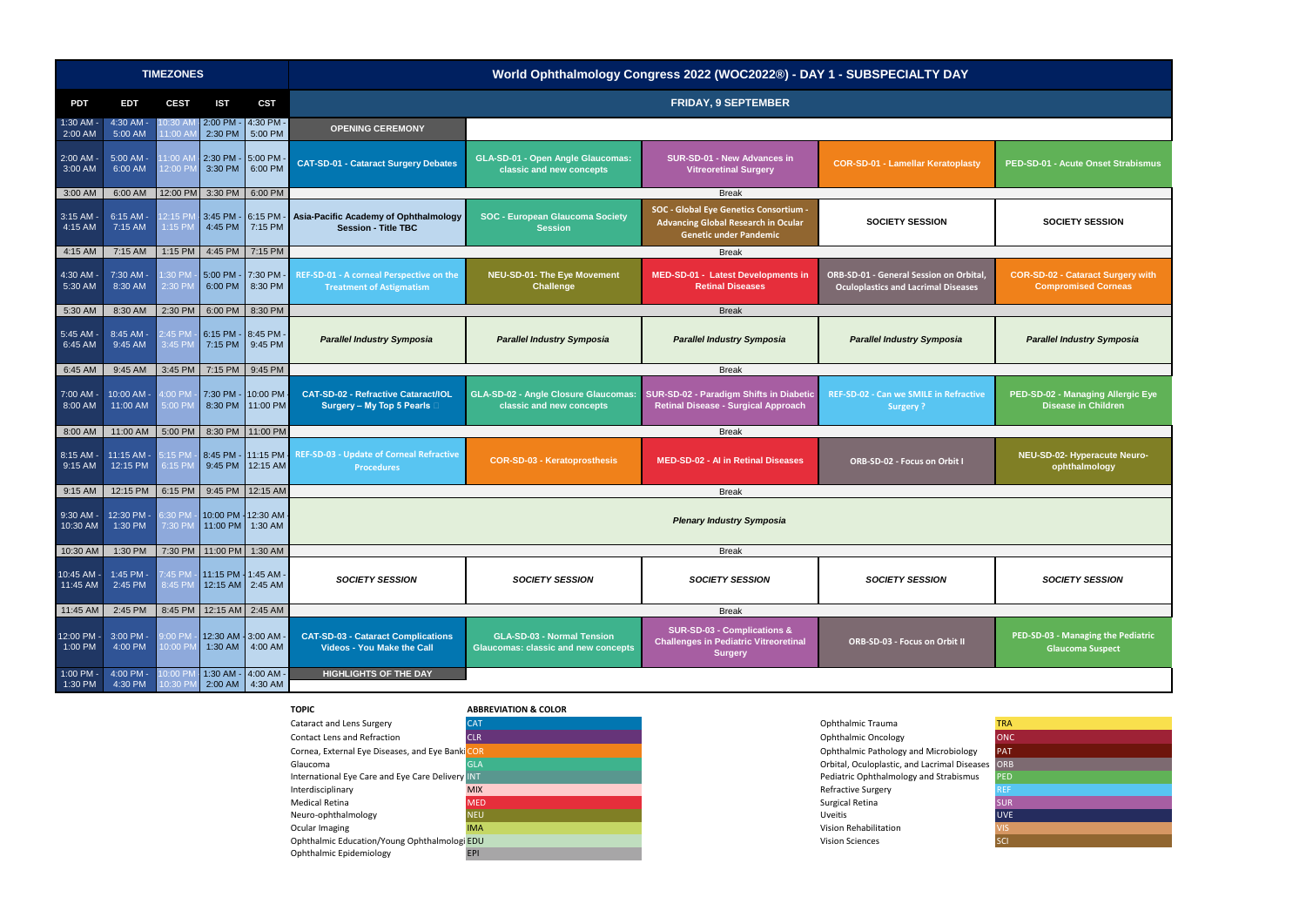

**PED-SD-01 - Acute Onset Strabismus** 

**PED-SD-03 - Managing the Pediatric Glaucoma Suspect**

| <b>TRA</b> |
|------------|
| <b>ONC</b> |
| <b>PAT</b> |
| <b>ORB</b> |
| <b>PED</b> |
| <b>REF</b> |
| <b>SUR</b> |
| <b>UVE</b> |
| <b>VIS</b> |
| SCI        |
|            |

|                            |                                                   | <b>TIMEZONES</b>     |                                          |                                         | World Ophthalmology Congress 2022 (WOC2022®) - DAY 1 - SUBSPECIALTY DAY     |                                                                                 |                                                                                                                              |                                                                                              |                                                                      |
|----------------------------|---------------------------------------------------|----------------------|------------------------------------------|-----------------------------------------|-----------------------------------------------------------------------------|---------------------------------------------------------------------------------|------------------------------------------------------------------------------------------------------------------------------|----------------------------------------------------------------------------------------------|----------------------------------------------------------------------|
| <b>PDT</b>                 | EDT                                               | <b>CEST</b>          | <b>IST</b>                               | <b>CST</b>                              | <b>FRIDAY, 9 SEPTEMBER</b>                                                  |                                                                                 |                                                                                                                              |                                                                                              |                                                                      |
| $1:30$ AM -<br>2:00 AM     | 4:30 AM<br>5:00 AM                                | 10:30A<br>11:00 A    | 2:00 PM -<br>2:30 PM                     | $4:30$ PM -<br>5:00 PM                  | <b>OPENING CEREMONY</b>                                                     |                                                                                 |                                                                                                                              |                                                                                              |                                                                      |
| $2:00$ AM -<br>$3:00$ AM   | $5:00$ AM -<br>6:00 AM                            | $1:00$ Al<br>12:00 P | 2:30 PM - 5:00 PM<br>$3:30$ PM           | 6:00 PM                                 | <b>CAT-SD-01 - Cataract Surgery Debates</b>                                 | <b>GLA-SD-01 - Open Angle Glaucomas:</b><br>classic and new concepts            | <b>SUR-SD-01 - New Advances in</b><br><b>Vitreoretinal Surgery</b>                                                           | <b>COR-SD-01 - Lamellar Keratoplasty</b>                                                     | PED-SD-01 - Acute Onset Strabisn                                     |
| 3:00 AM                    | 6:00 AM                                           |                      | 12:00 PM 3:30 PM                         | 6:00 PM                                 |                                                                             |                                                                                 | <b>Break</b>                                                                                                                 |                                                                                              |                                                                      |
| $3:15$ AM -<br>$4:15$ AM   | $6:15$ AM $\cdot$<br>7:15 AM                      | 12:15 PI<br>1:15 PM  | 3:45 PM - 6:15 PM -<br>$4:45$ PM         | 7:15 PM                                 | Asia-Pacific Academy of Ophthalmology<br><b>Session - Title TBC</b>         | <b>SOC - European Glaucoma Society</b><br><b>Session</b>                        | <b>SOC - Global Eye Genetics Consortium -</b><br><b>Advancing Global Research in Ocular</b><br><b>Genetic under Pandemic</b> | <b>SOCIETY SESSION</b>                                                                       | <b>SOCIETY SESSION</b>                                               |
| 4:15 AM                    | 7:15 AM                                           | 1:15 PM              | 4:45 PM                                  | 7:15 PM                                 |                                                                             |                                                                                 | <b>Break</b>                                                                                                                 |                                                                                              |                                                                      |
| $4:30$ AM -<br>$5:30$ AM   | 7:30 AM -<br>8:30 AM                              | 1:30 PN<br>2:30 PM   | 5:00 PM - 7:30 PM<br>$6:00$ PM           | 8:30 PM                                 | REF-SD-01 - A corneal Perspective on the<br><b>Treatment of Astigmatism</b> | NEU-SD-01- The Eye Movement<br><b>Challenge</b>                                 | MED-SD-01 - Latest Developments in<br><b>Retinal Diseases</b>                                                                | <b>ORB-SD-01 - General Session on Orbital,</b><br><b>Oculoplastics and Lacrimal Diseases</b> | <b>COR-SD-02 - Cataract Surgery wi</b><br><b>Compromised Corneas</b> |
| 5:30 AM                    | 8:30 AM                                           | 2:30 PM              | 6:00 PM                                  | 8:30 PM                                 |                                                                             |                                                                                 | <b>Break</b>                                                                                                                 |                                                                                              |                                                                      |
| 5:45 AM -<br>6:45 AM       | 8:45 AM -<br>9:45 AM                              | 2:45 PM<br>3:45 PM   | 6:15 PM - 8:45 PM<br>7:15 PM             | 9:45 PM                                 | <b>Parallel Industry Symposia</b>                                           | <b>Parallel Industry Symposia</b>                                               | <b>Parallel Industry Symposia</b>                                                                                            | <b>Parallel Industry Symposia</b>                                                            | <b>Parallel Industry Symposia</b>                                    |
| 6:45 AM                    | 9:45 AM                                           | 3:45 PM              | $7:15$ PM                                | 9:45 PM                                 |                                                                             |                                                                                 | <b>Break</b>                                                                                                                 |                                                                                              |                                                                      |
| $7:00$ AM -<br>8:00 AM     | 10:00 AM -<br>11:00 AM                            | 4:00 PM<br>5:00 PM   |                                          | 7:30 PM - 10:00 PM<br>8:30 PM 11:00 PM  | <b>CAT-SD-02 - Refractive Cataract/IOL</b><br>Surgery - My Top 5 Pearls     | <b>GLA-SD-02 - Angle Closure Glaucomas:</b><br>classic and new concepts         | SUR-SD-02 - Paradigm Shifts in Diabetic<br><b>Retinal Disease - Surgical Approach</b>                                        | <b>REF-SD-02 - Can we SMILE in Refractive</b><br><b>Surgery?</b>                             | PED-SD-02 - Managing Allergic E<br><b>Disease in Children</b>        |
| 8:00 AM                    | 11:00 AM                                          | 5:00 PM              |                                          | 8:30 PM 11:00 PM                        |                                                                             |                                                                                 | <b>Break</b>                                                                                                                 |                                                                                              |                                                                      |
| 8:15 AM ·<br>9:15 AM       | 11:15 AM<br>12:15 PM                              | $5:15$ PN<br>6:15 PM | 8:45 PM<br>9:45 PM                       | 11:15 PM -<br>12:15 AM                  | <b>REF-SD-03 - Update of Corneal Refractive</b><br><b>Procedures</b>        | <b>COR-SD-03 - Keratoprosthesis</b>                                             | <b>MED-SD-02 - AI in Retinal Diseases</b>                                                                                    | <b>ORB-SD-02 - Focus on Orbit I</b>                                                          | NEU-SD-02- Hyperacute Neuro-<br>ophthalmology                        |
| 9:15 AM                    | 12:15 PM                                          | 6:15 PM              |                                          | 9:45 PM 12:15 AM                        |                                                                             |                                                                                 | <b>Break</b>                                                                                                                 |                                                                                              |                                                                      |
| 9:30 AM -<br>$10:30$ AM    | 12:30 PM -<br>1:30 PM                             | 3:30 PN<br>7:30 PM   |                                          | 10:00 PM - 12:30 AM<br>11:00 PM 1:30 AM |                                                                             |                                                                                 | <b>Plenary Industry Symposia</b>                                                                                             |                                                                                              |                                                                      |
|                            | 10:30 AM   1:30 PM   7:30 PM   11:00 PM   1:30 AM |                      |                                          |                                         |                                                                             |                                                                                 | <b>Break</b>                                                                                                                 |                                                                                              |                                                                      |
| $10:45$ AM -<br>$11:45$ AM | 1:45 PM -<br>2:45 PM                              | 7:45 PM<br>8:45 PM   | 11:15 PM - 1:45 AM -<br>12:15 AM 2:45 AM |                                         | <b>SOCIETY SESSION</b>                                                      | <b>SOCIETY SESSION</b>                                                          | <b>SOCIETY SESSION</b>                                                                                                       | <b>SOCIETY SESSION</b>                                                                       | <b>SOCIETY SESSION</b>                                               |
| 11:45 AM                   | 2:45 PM                                           |                      | 8:45 PM   12:15 AM   2:45 AM             |                                         |                                                                             |                                                                                 | <b>Break</b>                                                                                                                 |                                                                                              |                                                                      |
| 12:00 PM -<br>$1:00$ PM    | 3:00 PM -<br>4:00 PM                              | 9:00 PM<br>10:00 PM  | 12:30 AM 3:00 AM -<br>$1:30$ AM          | 4:00 AM                                 | <b>CAT-SD-03 - Cataract Complications</b><br>Videos - You Make the Call     | <b>GLA-SD-03 - Normal Tension</b><br><b>Glaucomas: classic and new concepts</b> | <b>SUR-SD-03 - Complications &amp;</b><br><b>Challenges in Pediatric Vitreoretinal</b><br><b>Surgery</b>                     | <b>ORB-SD-03 - Focus on Orbit II</b>                                                         | PED-SD-03 - Managing the Pediatr<br><b>Glaucoma Suspect</b>          |
| 1:00 PM -<br>$1:30$ PM     | 4:00 PM -<br>4:30 PM                              | 10:00 PI<br>10:30 P  |                                          | 1:30 AM - 4:00 AM -<br>2:00 AM 4:30 AM  | <b>HIGHLIGHTS OF THE DAY</b>                                                |                                                                                 |                                                                                                                              |                                                                                              |                                                                      |



**PED-SD-02 - Managing Allergic Eye Disease in Children**

## **SOCIETY SESSION**

**COR-SD-02 - Cataract Surgery with Compromised Corneas**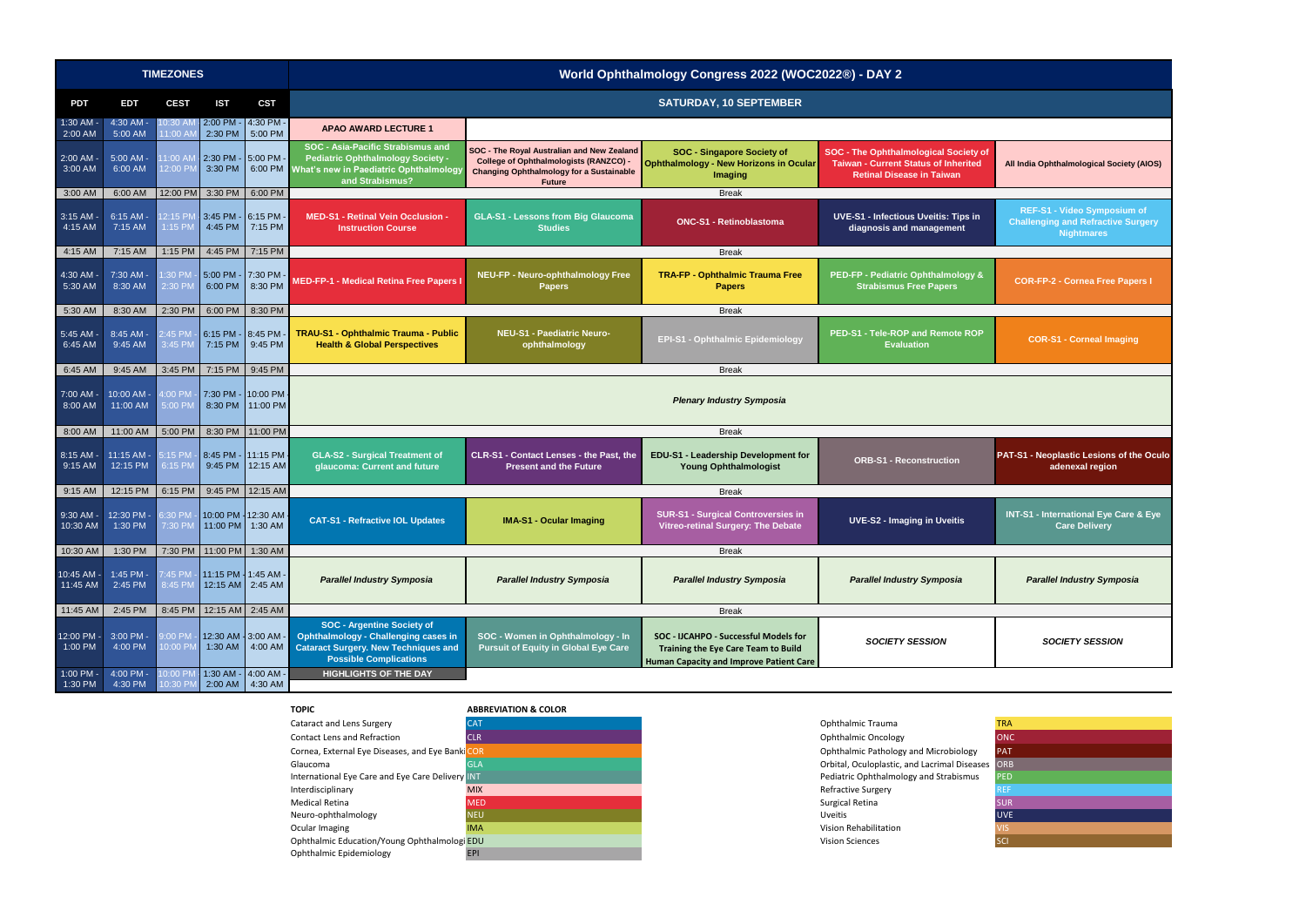

|                          |                              | <b>TIMEZONES</b>      |                                |                          |                                                                                                                                                                  |                                                                                                                                                                 | World Ophthalmology Congress 2022 (WOC2022®) - DAY 2                                                                                  |                                                                                                                                 |  |
|--------------------------|------------------------------|-----------------------|--------------------------------|--------------------------|------------------------------------------------------------------------------------------------------------------------------------------------------------------|-----------------------------------------------------------------------------------------------------------------------------------------------------------------|---------------------------------------------------------------------------------------------------------------------------------------|---------------------------------------------------------------------------------------------------------------------------------|--|
| <b>PDT</b>               | <b>EDT</b>                   | <b>CEST</b>           | <b>IST</b>                     | <b>CST</b>               |                                                                                                                                                                  |                                                                                                                                                                 | <b>SATURDAY, 10 SEPTEMBER</b>                                                                                                         |                                                                                                                                 |  |
| 1:30 AM<br>2:00 AM       | 4:30 AM<br>5:00 AM           | 10:30 AM<br>11:00 AN  | 2:00 PM<br>2:30 PM             | 4:30 PM<br>5:00 PM       | <b>APAO AWARD LECTURE 1</b>                                                                                                                                      |                                                                                                                                                                 |                                                                                                                                       |                                                                                                                                 |  |
| 2:00 AM<br>3:00 AM       | $5:00$ AM $\cdot$<br>6:00 AM | 11:00 AM<br>12:00 PM  | $2:30$ PM -<br>3:30 PM         | 5:00 PM<br>6:00 PM       | SOC - Asia-Pacific Strabismus and<br><b>Pediatric Ophthalmology Society -</b><br>What's new in Paediatric Ophthalmology<br>and Strabismus?                       | SOC - The Royal Australian and New Zealand<br><b>College of Ophthalmologists (RANZCO) -</b><br><b>Changing Ophthalmology for a Sustainable</b><br><b>Future</b> | <b>SOC - Singapore Society of</b><br><b>Ophthalmology - New Horizons in Ocular</b><br>Imaging                                         | <b>SOC - The Ophthalmological Society of</b><br><b>Taiwan - Current Status of Inherited</b><br><b>Retinal Disease in Taiwan</b> |  |
| 3:00 AM                  | 6:00 AM                      | 12:00 PM              | 3:30 PM                        | 6:00 PM                  |                                                                                                                                                                  |                                                                                                                                                                 | <b>Break</b>                                                                                                                          |                                                                                                                                 |  |
| $3:15$ AM<br>4:15 AM     | 6:15 AM<br>7:15 AM           | 12:15 PM<br>1:15 PM   | $3:45$ PM -<br>4:45 PM         | 6:15 PM<br>7:15 PM       | <b>MED-S1 - Retinal Vein Occlusion -</b><br><b>Instruction Course</b>                                                                                            | <b>GLA-S1 - Lessons from Big Glaucoma</b><br><b>Studies</b>                                                                                                     | <b>ONC-S1 - Retinoblastoma</b>                                                                                                        | <b>UVE-S1 - Infectious Uveitis: Tips in</b><br>diagnosis and management                                                         |  |
| 4:15 AM                  | 7:15 AM                      | 1:15 PM               | 4:45 PM                        | 7:15 PM                  |                                                                                                                                                                  |                                                                                                                                                                 | <b>Break</b>                                                                                                                          |                                                                                                                                 |  |
| $4:30$ AM<br>5:30 AM     | 7:30 AM<br>8:30 AM           | $1:30$ PM<br>2:30 PM  | 5:00 PM<br>6:00 PM             | 7:30 PM<br>8:30 PM       | <b>MED-FP-1 - Medical Retina Free Papers I</b>                                                                                                                   | NEU-FP - Neuro-ophthalmology Free<br><b>Papers</b>                                                                                                              | <b>TRA-FP - Ophthalmic Trauma Free</b><br><b>Papers</b>                                                                               | PED-FP - Pediatric Ophthalmology &<br><b>Strabismus Free Papers</b>                                                             |  |
| 5:30 AM                  | 8:30 AM                      | 2:30 PM               | $6:00$ PM                      | 8:30 PM                  |                                                                                                                                                                  |                                                                                                                                                                 | <b>Break</b>                                                                                                                          |                                                                                                                                 |  |
| $5:45$ AM<br>6:45 AM     | 8:45 AM<br>9:45 AM           | 2:45 PM<br>3:45 PM    | 6:15 PM<br>7:15 PM             | 8:45 PM<br>9:45 PM       | TRAU-S1 - Ophthalmic Trauma - Public<br><b>Health &amp; Global Perspectives</b>                                                                                  | <b>NEU-S1 - Paediatric Neuro-</b><br>ophthalmology                                                                                                              | <b>EPI-S1 - Ophthalmic Epidemiology</b>                                                                                               | <b>PED-S1 - Tele-ROP and Remote ROP</b><br><b>Evaluation</b>                                                                    |  |
| 6:45 AM                  | 9:45 AM                      | 3:45 PM               | 7:15 PM                        | 9:45 PM                  |                                                                                                                                                                  |                                                                                                                                                                 | <b>Break</b>                                                                                                                          |                                                                                                                                 |  |
| 7:00 AM<br>8:00 AM       | 10:00 AM -<br>11:00 AM       | 4:00 PM<br>5:00 PM    | 7:30 PM -<br>8:30 PM           | 10:00 PM<br>11:00 PM     |                                                                                                                                                                  | <b>Plenary Industry Symposia</b>                                                                                                                                |                                                                                                                                       |                                                                                                                                 |  |
| 8:00 AM                  | 11:00 AM                     | 5:00 PM               | 8:30 PM                        | 11:00 PM                 |                                                                                                                                                                  |                                                                                                                                                                 | <b>Break</b>                                                                                                                          |                                                                                                                                 |  |
| 8:15 AM<br>9:15 AM       | 11:15 AM -<br>12:15 PM       | 5:15 PM<br>6:15 PM    | 8:45 PM<br>9:45 PM             | 11:15 PM<br>12:15 AM     | <b>GLA-S2 - Surgical Treatment of</b><br>glaucoma: Current and future                                                                                            | CLR-S1 - Contact Lenses - the Past, the<br><b>Present and the Future</b>                                                                                        | EDU-S1 - Leadership Development for<br><b>Young Ophthalmologist</b>                                                                   | <b>ORB-S1 - Reconstruction</b>                                                                                                  |  |
| 9:15 AM                  | 12:15 PM                     | 6:15 PM               | 9:45 PM                        | 12:15 AM                 |                                                                                                                                                                  |                                                                                                                                                                 | <b>Break</b>                                                                                                                          |                                                                                                                                 |  |
| $9:30$ AM<br>10:30 AM    | 12:30 PM -<br>1:30 PM        | 6:30 PM<br>7:30 PM    | 10:00 PM<br>11:00 PM           | 12:30 AM<br>1:30 AM      | <b>CAT-S1 - Refractive IOL Updates</b>                                                                                                                           | <b>IMA-S1 - Ocular Imaging</b>                                                                                                                                  | <b>SUR-S1 - Surgical Controversies in</b><br><b>Vitreo-retinal Surgery: The Debate</b>                                                | <b>UVE-S2 - Imaging in Uveitis</b>                                                                                              |  |
|                          | 10:30 AM 1:30 PM             |                       |                                | 7:30 PM 11:00 PM 1:30 AM |                                                                                                                                                                  |                                                                                                                                                                 | <b>Break</b>                                                                                                                          |                                                                                                                                 |  |
| $10:45$ AM -<br>11:45 AM | 1:45 PM<br>2:45 PM           | 7:45 PM<br>8:45 PM    | 11:15 PM - 1:45 AM<br>12:15 AM | 2:45 AM                  | <b>Parallel Industry Symposia</b>                                                                                                                                | <b>Parallel Industry Symposia</b>                                                                                                                               | <b>Parallel Industry Symposia</b>                                                                                                     | <b>Parallel Industry Symposia</b>                                                                                               |  |
| 11:45 AM                 | 2:45 PM                      | 8:45 PM               | 12:15 AM                       | 2:45 AM                  |                                                                                                                                                                  |                                                                                                                                                                 | <b>Break</b>                                                                                                                          |                                                                                                                                 |  |
| 12:00 PM -<br>1:00 PM    | 3:00 PM -<br>4:00 PM         | $9:00$ PM<br>10:00 PM | 12:30 AM 3:00 AM<br>1:30 AM    | 4:00 AM                  | <b>SOC - Argentine Society of</b><br><b>Ophthalmology - Challenging cases in</b><br><b>Cataract Surgery. New Techniques and</b><br><b>Possible Complications</b> | SOC - Women in Ophthalmology - In<br><b>Pursuit of Equity in Global Eye Care</b>                                                                                | SOC - IJCAHPO - Successful Models for<br><b>Training the Eye Care Team to Build</b><br><b>Human Capacity and Improve Patient Care</b> | <b>SOCIETY SESSION</b>                                                                                                          |  |
| 1:00 PM -<br>1:30 PM     | 4:00 PM -<br>4:30 PM         | 10:00 PM<br>10:30 PM  | 1:30 AM<br>2:00 AM             | 4:00 AM<br>4:30 AM       | <b>HIGHLIGHTS OF THE DAY</b>                                                                                                                                     |                                                                                                                                                                 |                                                                                                                                       |                                                                                                                                 |  |





|    | <b>TRA</b> |
|----|------------|
|    | <b>ONC</b> |
|    | <b>PAT</b> |
| ŀ. | <b>ORB</b> |
|    | <b>PED</b> |
|    | <b>REF</b> |
|    | <b>SUR</b> |
|    | <b>UVE</b> |
|    | <b>VIS</b> |
|    | SCI        |
|    |            |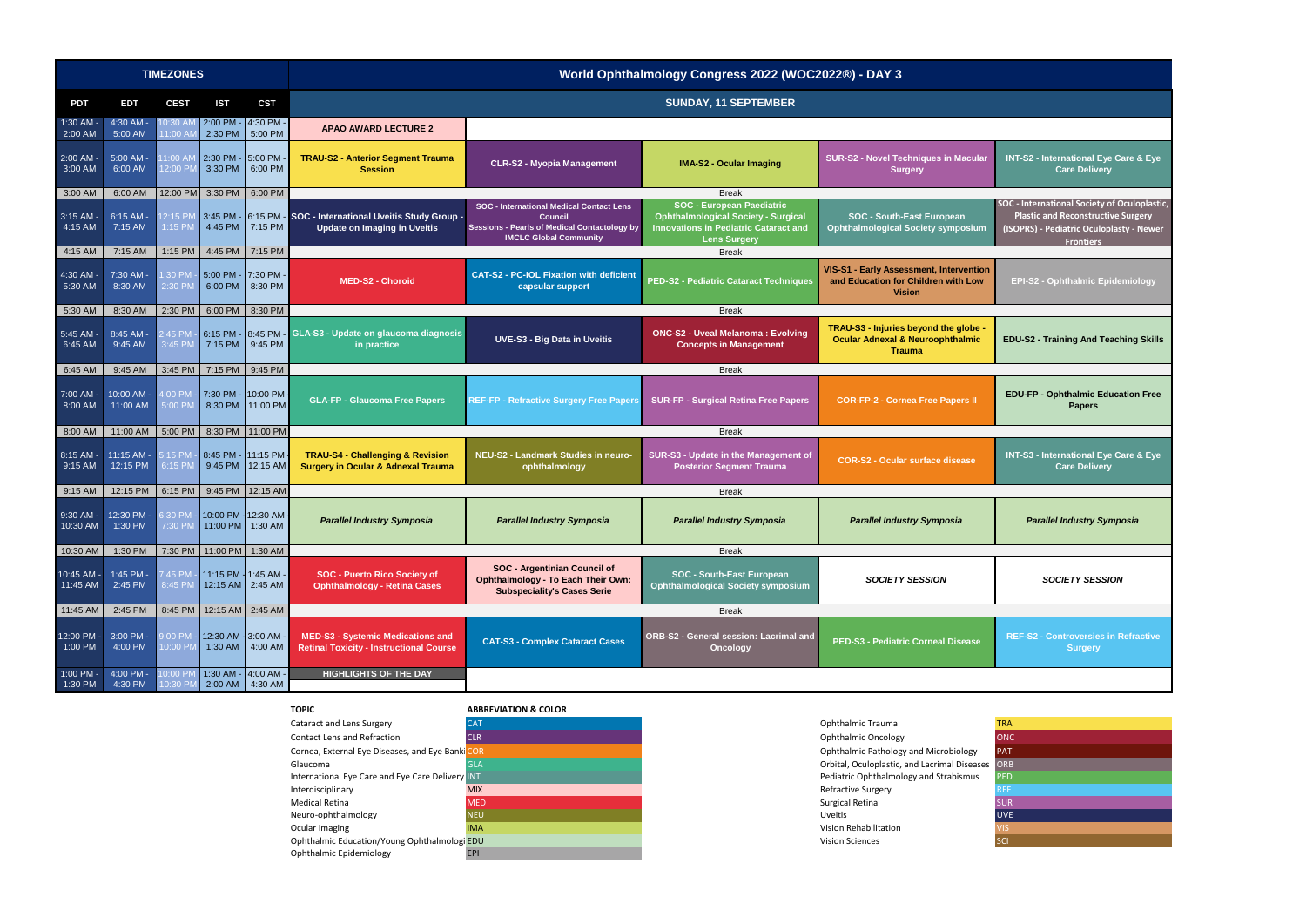

|                              |                              | <b>TIMEZONES</b>              |                    |                                                | World Ophthalmology Congress 2022 (WOC2022®) - DAY 3                                                 |                                                                                                                                                           |                                                                                                                                                       |                                                                                                       |                                                                                                                                                               |
|------------------------------|------------------------------|-------------------------------|--------------------|------------------------------------------------|------------------------------------------------------------------------------------------------------|-----------------------------------------------------------------------------------------------------------------------------------------------------------|-------------------------------------------------------------------------------------------------------------------------------------------------------|-------------------------------------------------------------------------------------------------------|---------------------------------------------------------------------------------------------------------------------------------------------------------------|
| <b>PDT</b>                   | <b>EDT</b>                   | <b>CEST</b>                   | <b>IST</b>         | <b>CST</b>                                     |                                                                                                      | <b>SUNDAY, 11 SEPTEMBER</b>                                                                                                                               |                                                                                                                                                       |                                                                                                       |                                                                                                                                                               |
| $1:30$ AM<br>$2:00$ AM       | 4:30 AM -<br>5:00 AM         | $0:30$ AI<br>1:00A            | 2:00 PM<br>2:30 PM | 4:30 PM -<br>5:00 PM                           | <b>APAO AWARD LECTURE 2</b>                                                                          |                                                                                                                                                           |                                                                                                                                                       |                                                                                                       |                                                                                                                                                               |
| $2:00$ AM $\cdot$<br>3:00 AM | $5:00$ AM $\cdot$<br>6:00 AM | 1:00 AM<br>12:00 PM           | 2:30 PM<br>3:30 PM | $-$ 5:00 PM<br>6:00 PM                         | <b>TRAU-S2 - Anterior Segment Trauma</b><br><b>Session</b>                                           | <b>CLR-S2 - Myopia Management</b>                                                                                                                         | <b>IMA-S2 - Ocular Imaging</b>                                                                                                                        | <b>SUR-S2 - Novel Techniques in Macular</b><br><b>Surgery</b>                                         | INT-S2 - International Eye Care & Eye<br><b>Care Delivery</b>                                                                                                 |
| 3:00 AM                      | 6:00 AM                      | 12:00 PM                      | 3:30 PM            | 6:00 PM                                        |                                                                                                      |                                                                                                                                                           | <b>Break</b>                                                                                                                                          |                                                                                                       |                                                                                                                                                               |
| $3:15$ AM<br>4:15 AM         | 6:15 AM -<br>7:15 AM         | 12:15 PN<br>1:15 PM           | 4:45 PM            | 7:15 PM                                        | 3:45 PM - 6:15 PM - SOC - International Uveitis Study Group -<br><b>Update on Imaging in Uveitis</b> | <b>SOC - International Medical Contact Lens</b><br><b>Council</b><br><b>Sessions - Pearls of Medical Contactology by</b><br><b>IMCLC Global Community</b> | <b>SOC - European Paediatric</b><br><b>Ophthalmological Society - Surgical</b><br><b>Innovations in Pediatric Cataract and</b><br><b>Lens Surgery</b> | <b>SOC - South-East European</b><br><b>Ophthalmological Society symposium</b>                         | <b>SOC</b> - International Society of Oculoplasti<br><b>Plastic and Reconstructive Surgery</b><br>(ISOPRS) - Pediatric Oculoplasty - Newe<br><b>Frontiers</b> |
| 4:15 AM                      | 7:15 AM                      | 1:15 PM                       | 4:45 PM            | 7:15 PM                                        |                                                                                                      |                                                                                                                                                           | <b>Break</b>                                                                                                                                          |                                                                                                       |                                                                                                                                                               |
| $4:30$ AM<br>$5:30$ AM       | 7:30 AM -<br>8:30 AM         | 1:30 PM<br>2:30 PM            | 6:00 PM            | 5:00 PM - 7:30 PM -<br>8:30 PM                 | <b>MED-S2 - Choroid</b>                                                                              | <b>CAT-S2 - PC-IOL Fixation with deficient</b><br>capsular support                                                                                        | <b>PED-S2 - Pediatric Cataract Techniques</b>                                                                                                         | VIS-S1 - Early Assessment, Intervention<br>and Education for Children with Low<br><b>Vision</b>       | EPI-S2 - Ophthalmic Epidemiology                                                                                                                              |
| 5:30 AM                      | 8:30 AM                      | 2:30 PM                       | 6:00 PM            | 8:30 PM                                        |                                                                                                      |                                                                                                                                                           | <b>Break</b>                                                                                                                                          |                                                                                                       |                                                                                                                                                               |
| 5:45 AM $\cdot$<br>6:45 AM   | 8:45 AM -<br>9:45 AM         | 2:45 PM<br>3:45 PM            | 6:15 PM<br>7:15 PM | 9:45 PM                                        | 8:45 PM - GLA-S3 - Update on glaucoma diagnosis<br>in practice                                       | <b>UVE-S3 - Big Data in Uveitis</b>                                                                                                                       | <b>ONC-S2 - Uveal Melanoma: Evolving</b><br><b>Concepts in Management</b>                                                                             | TRAU-S3 - Injuries beyond the globe -<br><b>Ocular Adnexal &amp; Neuroophthalmic</b><br><b>Trauma</b> | <b>EDU-S2 - Training And Teaching Skills</b>                                                                                                                  |
| 6:45 AM                      | 9:45 AM                      | 3:45 PM                       | 7:15 PM            | 9:45 PM                                        |                                                                                                      |                                                                                                                                                           | <b>Break</b>                                                                                                                                          |                                                                                                       |                                                                                                                                                               |
| $7:00$ AM $\cdot$<br>8:00 AM | 10:00 AM<br>11:00 AM         | 4:00 PM<br>5:00 PM            |                    | 7:30 PM - 10:00 PM<br>8:30 PM 11:00 PM         | <b>GLA-FP - Glaucoma Free Papers</b>                                                                 | <b>REF-FP - Refractive Surgery Free Papers</b>                                                                                                            | <b>SUR-FP - Surgical Retina Free Papers</b>                                                                                                           | <b>COR-FP-2 - Cornea Free Papers II</b>                                                               | <b>EDU-FP - Ophthalmic Education Free</b><br><b>Papers</b>                                                                                                    |
| 8:00 AM                      | 11:00 AM                     | 5:00 PM                       | 8:30 PM            | 11:00 PM                                       |                                                                                                      |                                                                                                                                                           | <b>Break</b>                                                                                                                                          |                                                                                                       |                                                                                                                                                               |
| 8:15 AM -<br>9:15 AM         | 11:15 AM<br>12:15 PM         | :15 P <sub>N</sub><br>6:15 PM | 9:45 PM            | 8:45 PM - 11:15 PM<br>12:15 AM                 | <b>TRAU-S4 - Challenging &amp; Revision</b><br><b>Surgery in Ocular &amp; Adnexal Trauma</b>         | NEU-S2 - Landmark Studies in neuro-<br>ophthalmology                                                                                                      | SUR-S3 - Update in the Management of<br><b>Posterior Segment Trauma</b>                                                                               | <b>COR-S2 - Ocular surface disease</b>                                                                | INT-S3 - International Eye Care & Eye<br><b>Care Delivery</b>                                                                                                 |
| $9:15$ AM                    | 12:15 PM                     | 6:15 PM                       | 9:45 PM            | 12:15 AM                                       |                                                                                                      |                                                                                                                                                           | <b>Break</b>                                                                                                                                          |                                                                                                       |                                                                                                                                                               |
| $9:30$ AM -<br>10:30 AM      | 12:30 PM<br>1:30 PM          | 3:30 PM<br>7:30 PM            | 11:00 PM           | 10:00 PM 12:30 AM<br>$1:30$ AM                 | <b>Parallel Industry Symposia</b>                                                                    | <b>Parallel Industry Symposia</b>                                                                                                                         | <b>Parallel Industry Symposia</b>                                                                                                                     | <b>Parallel Industry Symposia</b>                                                                     | <b>Parallel Industry Symposia</b>                                                                                                                             |
| 10:30 AM                     | 1:30 PM                      |                               |                    | 7:30 PM 11:00 PM 1:30 AM                       |                                                                                                      |                                                                                                                                                           | <b>Break</b>                                                                                                                                          |                                                                                                       |                                                                                                                                                               |
| 10:45 AM -<br>11:45 AM       | $1:45$ PM -<br>2:45 PM       | 7:45 PM<br>8:45 PM            |                    | 11:15 PM   1:45 AM -<br>$12:15$ AM 2:45 AM     | <b>SOC - Puerto Rico Society of</b><br><b>Ophthalmology - Retina Cases</b>                           | <b>SOC - Argentinian Council of</b><br><b>Ophthalmology - To Each Their Own:</b><br><b>Subspeciality's Cases Serie</b>                                    | <b>SOC - South-East European</b><br><b>Ophthalmological Society symposium</b>                                                                         | <b>SOCIETY SESSION</b>                                                                                | <b>SOCIETY SESSION</b>                                                                                                                                        |
| 11:45 AM                     | 2:45 PM                      | 8:45 PM                       |                    | 12:15 AM 2:45 AM                               |                                                                                                      |                                                                                                                                                           | <b>Break</b>                                                                                                                                          |                                                                                                       |                                                                                                                                                               |
| 12:00 PM -<br>1:00 PM        | 3:00 PM -<br>4:00 PM         | 9:00 PM<br>10:00 PM           |                    | 12:30 AM - 3:00 AM -<br>1:30 AM $\mid$ 4:00 AM | <b>MED-S3 - Systemic Medications and</b><br><b>Retinal Toxicity - Instructional Course</b>           | <b>CAT-S3 - Complex Cataract Cases</b>                                                                                                                    | <b>ORB-S2 - General session: Lacrimal and</b><br><b>Oncology</b>                                                                                      | PED-S3 - Pediatric Corneal Disease                                                                    | <b>REF-S2 - Controversies in Refractive</b><br><b>Surgery</b>                                                                                                 |
| $1:00$ PM -<br>1:30 PM       | 4:00 PM -<br>4:30 PM         | 10:00 PM<br>10:30 PM          |                    | $1:30$ AM - 4:00 AM -<br>2:00 AM 4:30 AM       | <b>HIGHLIGHTS OF THE DAY</b>                                                                         |                                                                                                                                                           |                                                                                                                                                       |                                                                                                       |                                                                                                                                                               |

| 2®) - DAY 3                                                                                        |                                                                                                                                                           |
|----------------------------------------------------------------------------------------------------|-----------------------------------------------------------------------------------------------------------------------------------------------------------|
|                                                                                                    |                                                                                                                                                           |
|                                                                                                    |                                                                                                                                                           |
| R-S2 - Novel Techniques in Macular<br><b>Surgery</b>                                               | <b>INT-S2 - International Eye Care &amp; Eye</b><br><b>Care Delivery</b>                                                                                  |
| <b>SOC - South-East European</b><br>hthalmological Society symposium                               | SOC - International Society of Oculoplastic,<br><b>Plastic and Reconstructive Surgery</b><br>(ISOPRS) - Pediatric Oculoplasty - Newer<br><b>Frontiers</b> |
| -S1 - Early Assessment, Intervention<br><b>d Education for Children with Low</b><br><b>Vision</b>  | <b>EPI-S2 - Ophthalmic Epidemiology</b>                                                                                                                   |
| AU-S3 - Injuries beyond the globe -<br><b>Cular Adnexal &amp; Neuroophthalmic</b><br><b>Trauma</b> | <b>EDU-S2 - Training And Teaching Skills</b>                                                                                                              |
| <b>COR-FP-2 - Cornea Free Papers II</b>                                                            | <b>EDU-FP - Ophthalmic Education Free</b><br><b>Papers</b>                                                                                                |
| <b>COR-S2 - Ocular surface disease</b>                                                             | <b>INT-S3 - International Eye Care &amp; Eye</b><br><b>Care Delivery</b>                                                                                  |
| <b>Parallel Industry Symposia</b>                                                                  | <b>Parallel Industry Symposia</b>                                                                                                                         |
| <b>SOCIETY SESSION</b>                                                                             | <b>SOCIETY SESSION</b>                                                                                                                                    |
| <b>ED-S3 - Pediatric Corneal Disease</b>                                                           | <b>REF-S2 - Controversies in Refractive</b><br><b>Surgery</b>                                                                                             |
|                                                                                                    |                                                                                                                                                           |
| thalmic Trauma<br>thalmic Oncology<br>thalmic Pathology and Microbiology                           | <b>TRA</b><br><b>ONC</b><br><b>PAT</b>                                                                                                                    |